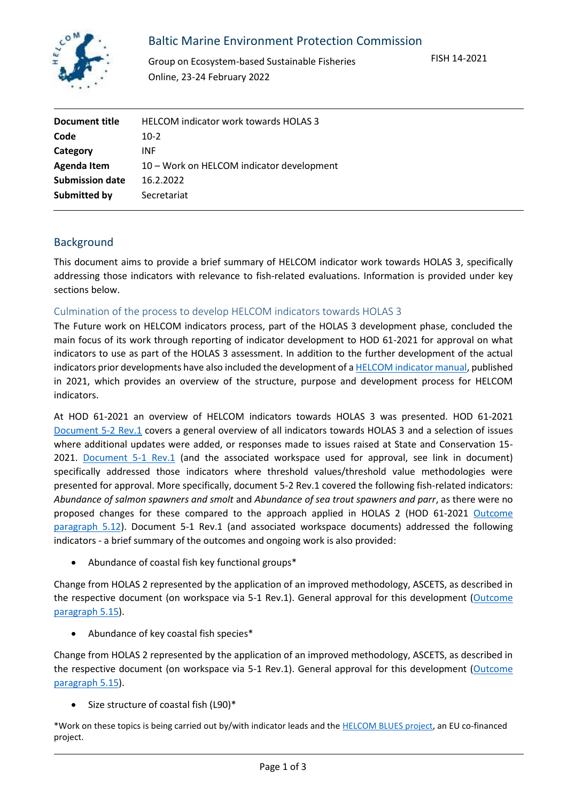

# Baltic Marine Environment Protection Commission

Group on Ecosystem-based Sustainable Fisheries Online, 23-24 February 2022

| Document title         | HELCOM indicator work towards HOLAS 3     |
|------------------------|-------------------------------------------|
| Code                   | $10-2$                                    |
| Category               | <b>INF</b>                                |
| Agenda Item            | 10 – Work on HELCOM indicator development |
| <b>Submission date</b> | 16.2.2022                                 |
| Submitted by           | Secretariat                               |

## Background

This document aims to provide a brief summary of HELCOM indicator work towards HOLAS 3, specifically addressing those indicators with relevance to fish-related evaluations. Information is provided under key sections below.

#### Culmination of the process to develop HELCOM indicators towards HOLAS 3

The Future work on HELCOM indicators process, part of the HOLAS 3 development phase, concluded the main focus of its work through reporting of indicator development to HOD 61-2021 for approval on what indicators to use as part of the HOLAS 3 assessment. In addition to the further development of the actual indicators prior developments have also included the development of [a HELCOM indicator manual,](https://helcom.fi/wp-content/uploads/2021/01/BSEP175.pdf) published in 2021, which provides an overview of the structure, purpose and development process for HELCOM indicators.

At HOD 61-2021 an overview of HELCOM indicators towards HOLAS 3 was presented. HOD 61-2021 [Document 5-2 Rev.1](https://portal.helcom.fi/meetings/HOD%2061-2021-896/MeetingDocuments/5-2-Rev.1%20Summary%20of%20indicator%20development%2C%20post-State%20and%20Conservation%2015-2021.pdf) covers a general overview of all indicators towards HOLAS 3 and a selection of issues where additional updates were added, or responses made to issues raised at State and Conservation 15- 2021. [Document 5-1 Rev.1](https://portal.helcom.fi/meetings/HOD%2061-2021-896/MeetingDocuments/5-1-Rev.1%20Approval%20of%20threshold%20values%20and%20threshold%20value%20setting%20methodologies%20for%20HELCOM%20indicators%20towards%20HOLAS%20III.pdf) (and the associated workspace used for approval, see link in document) specifically addressed those indicators where threshold values/threshold value methodologies were presented for approval. More specifically, document 5-2 Rev.1 covered the following fish-related indicators: *Abundance of salmon spawners and smolt* and *Abundance of sea trout spawners and parr*, as there were no proposed changes for these compared to the approach applied in HOLAS 2 (HOD 61-2021 Outcome [paragraph 5.12\)](https://portal.helcom.fi/meetings/HOD%2061-2021-896/MeetingDocuments/Outcome%20of%20HOD%2061-2021.pdf). Document 5-1 Rev.1 (and associated workspace documents) addressed the following indicators - a brief summary of the outcomes and ongoing work is also provided:

• Abundance of coastal fish key functional groups\*

Change from HOLAS 2 represented by the application of an improved methodology, ASCETS, as described in the respective document (on workspace via 5-1 Rev.1). General approval for this development (Outcome [paragraph 5.15\)](https://portal.helcom.fi/meetings/HOD%2061-2021-896/MeetingDocuments/Outcome%20of%20HOD%2061-2021.pdf).

• Abundance of key coastal fish species\*

Change from HOLAS 2 represented by the application of an improved methodology, ASCETS, as described in the respective document (on workspace via 5-1 Rev.1). General approval for this development (Outcome [paragraph 5.15\)](https://portal.helcom.fi/meetings/HOD%2061-2021-896/MeetingDocuments/Outcome%20of%20HOD%2061-2021.pdf).

• Size structure of coastal fish (L90)\*

\*Work on these topics is being carried out by/with indicator leads and th[e HELCOM BLUES project,](https://helcom.fi/helcom-at-work/projects/blues/) an EU co-financed project.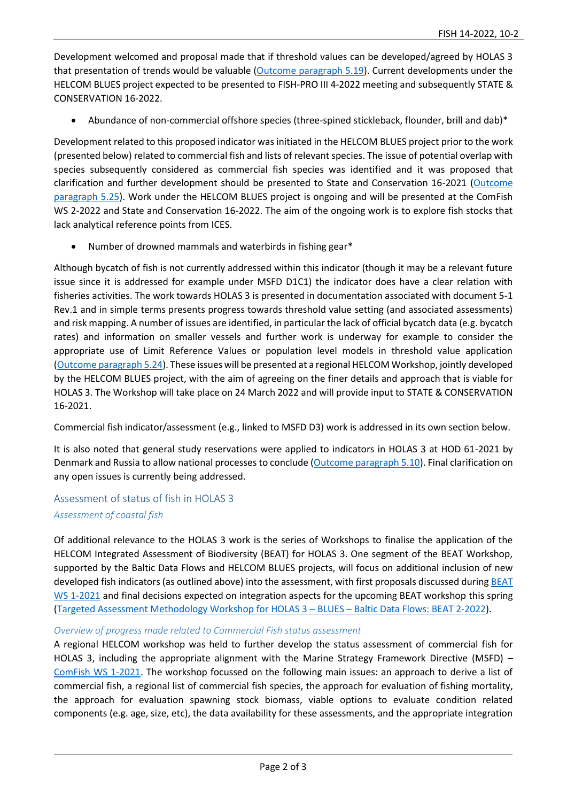Development welcomed and proposal made that if threshold values can be developed/agreed by HOLAS 3 that presentation of trends would be valuable [\(Outcome paragraph 5.19\)](https://portal.helcom.fi/meetings/HOD%2061-2021-896/MeetingDocuments/Outcome%20of%20HOD%2061-2021.pdf). Current developments under the HELCOM BLUES project expected to be presented to FISH-PRO III 4-2022 meeting and subsequently STATE & CONSERVATION 16-2022.

• Abundance of non-commercial offshore species (three-spined stickleback, flounder, brill and dab)\*

Development related to this proposed indicator was initiated in the HELCOM BLUES project prior to the work (presented below) related to commercial fish and lists of relevant species. The issue of potential overlap with species subsequently considered as commercial fish species was identified and it was proposed that clarification and further development should be presented to State and Conservation 16-2021 [\(Outcome](https://portal.helcom.fi/meetings/HOD%2061-2021-896/MeetingDocuments/Outcome%20of%20HOD%2061-2021.pdf)  [paragraph 5.25\)](https://portal.helcom.fi/meetings/HOD%2061-2021-896/MeetingDocuments/Outcome%20of%20HOD%2061-2021.pdf). Work under the HELCOM BLUES project is ongoing and will be presented at the ComFish WS 2-2022 and State and Conservation 16-2022. The aim of the ongoing work is to explore fish stocks that lack analytical reference points from ICES.

• Number of drowned mammals and waterbirds in fishing gear\*

Although bycatch of fish is not currently addressed within this indicator (though it may be a relevant future issue since it is addressed for example under MSFD D1C1) the indicator does have a clear relation with fisheries activities. The work towards HOLAS 3 is presented in documentation associated with document 5-1 Rev.1 and in simple terms presents progress towards threshold value setting (and associated assessments) and risk mapping. A number of issues are identified, in particular the lack of official bycatch data (e.g. bycatch rates) and information on smaller vessels and further work is underway for example to consider the appropriate use of Limit Reference Values or population level models in threshold value application [\(Outcome paragraph 5.24\)](https://portal.helcom.fi/meetings/HOD%2061-2021-896/MeetingDocuments/Outcome%20of%20HOD%2061-2021.pdf). These issues will be presented at a regional HELCOM Workshop, jointly developed by the HELCOM BLUES project, with the aim of agreeing on the finer details and approach that is viable for HOLAS 3. The Workshop will take place on 24 March 2022 and will provide input to STATE & CONSERVATION 16-2021.

Commercial fish indicator/assessment (e.g., linked to MSFD D3) work is addressed in its own section below.

It is also noted that general study reservations were applied to indicators in HOLAS 3 at HOD 61-2021 by Denmark and Russia to allow national processes to conclude [\(Outcome paragraph 5.10\)](https://portal.helcom.fi/meetings/HOD%2061-2021-896/MeetingDocuments/Outcome%20of%20HOD%2061-2021.pdf). Final clarification on any open issues is currently being addressed.

Assessment of status of fish in HOLAS 3 *Assessment of coastal fish*

Of additional relevance to the HOLAS 3 work is the series of Workshops to finalise the application of the HELCOM Integrated Assessment of Biodiversity (BEAT) for HOLAS 3. One segment of the BEAT Workshop, supported by the Baltic Data Flows and HELCOM BLUES projects, will focus on additional inclusion of new developed fish indicators (as outlined above) into the assessment, with first proposals discussed during BEAT [WS 1-2021](https://portal.helcom.fi/meetings/BEAT%20WS%201-2021-938/default.aspx) and final decisions expected on integration aspects for the upcoming BEAT workshop this spring [\(Targeted Assessment Methodology Workshop for HOLAS 3](https://portal.helcom.fi/meetings/HOLAS3-BLUES-BDF%20BEAT%202-2022-994/default.aspx) – BLUES – Baltic Data Flows: BEAT 2-2022).

#### *Overview of progress made related to Commercial Fish status assessment*

A regional HELCOM workshop was held to further develop the status assessment of commercial fish for HOLAS 3, including the appropriate alignment with the Marine Strategy Framework Directive (MSFD) – [ComFish WS](https://portal.helcom.fi/meetings/ComFish%20WS%201-2021-934/default.aspx) 1-2021. The workshop focussed on the following main issues: an approach to derive a list of commercial fish, a regional list of commercial fish species, the approach for evaluation of fishing mortality, the approach for evaluation spawning stock biomass, viable options to evaluate condition related components (e.g. age, size, etc), the data availability for these assessments, and the appropriate integration